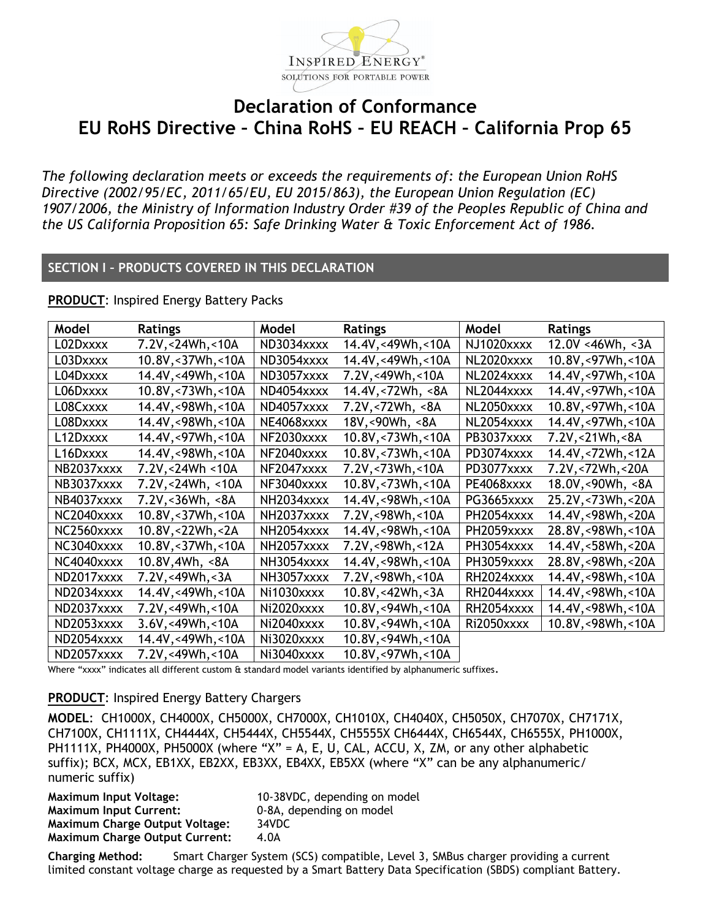

## **Declaration of Conformance EU RoHS Directive – China RoHS – EU REACH – California Prop 65**

*The following declaration meets or exceeds the requirements of: the European Union RoHS Directive (2002/95/EC, 2011/65/EU, EU 2015/863), the European Union Regulation (EC) 1907/2006, the Ministry of Information Industry Order #39 of the Peoples Republic of China and the US California Proposition 65: Safe Drinking Water & Toxic Enforcement Act of 1986.* 

### **SECTION I – PRODUCTS COVERED IN THIS DECLARATION**

**PRODUCT**: Inspired Energy Battery Packs

| Model      | <b>Ratings</b>                        | Model      | <b>Ratings</b>       | Model      | <b>Ratings</b>          |
|------------|---------------------------------------|------------|----------------------|------------|-------------------------|
| L02Dxxxx   | 7.2V, < 24Wh, < 10A                   | ND3034xxxx | 14.4V,<49Wh,<10A     | NJ1020xxxx | $12.0V < 46Wh$ , $< 3A$ |
| L03Dxxxx   | 10.8V,<37Wh,<10A                      | ND3054xxxx | 14.4V,<49Wh,<10A     | NL2020xxxx | 10.8V,<97Wh,<10A        |
| L04Dxxxx   | 14.4V,<49Wh,<10A                      | ND3057xxxx | 7.2V,<49Wh,<10A      | NL2024xxxx | 14.4V,<97Wh,<10A        |
| L06Dxxxx   | 10.8V, < 73Wh, < 10A                  | ND4054xxxx | 14.4V,<72Wh, <8A     | NL2044xxxx | 14.4V,<97Wh,<10A        |
| L08Cxxxx   | 14.4V,<98Wh,<10A                      | ND4057xxxx | 7.2V,<72Wh, <8A      | NL2050xxxx | 10.8V,<97Wh,<10A        |
| L08Dxxxx   | 14.4V,<98Wh,<10A                      | NE4068xxxx | 18V,<90Wh, <8A       | NL2054xxxx | 14.4V,<97Wh,<10A        |
| L12Dxxxx   | 14.4V,<97Wh,<10A                      | NF2030xxxx | 10.8V,<73Wh,<10A     | PB3037xxxx | 7.2V,<21Wh,<8A          |
| L16Dxxxx   | 14.4V,<98Wh,<10A                      | NF2040xxxx | 10.8V, < 73Wh, < 10A | PD3074xxxx | 14.4V,<72Wh,<12A        |
| NB2037xxxx | 7.2V, < 24Wh < 10A                    | NF2047xxxx | 7.2V,<73Wh,<10A      | PD3077xxxx | 7.2V,<72Wh,<20A         |
| NB3037xxxx | 7.2V,<24Wh, <10A                      | NF3040xxxx | 10.8V,<73Wh,<10A     | PE4068xxxx | 18.0V,<90Wh, <8A        |
| NB4037xxxx | 7.2V, < 36Wh, < 8A                    | NH2034xxxx | 14.4V,<98Wh,<10A     | PG3665xxxx | 25.2V, < 73Wh, < 20A    |
| NC2040xxxx | 10.8V, < 37Wh, < 10A                  | NH2037xxxx | 7.2V,<98Wh,<10A      | PH2054xxxx | 14.4V,<98Wh,<20A        |
| NC2560xxxx | 10.8V, < 22Wh, < 2A                   | NH2054xxxx | 14.4V,<98Wh,<10A     | PH2059xxxx | 28.8V,<98Wh,<10A        |
| NC3040xxxx | 10.8V, < 37Wh, < 10A                  | NH2057xxxx | 7.2V,<98Wh,<12A      | PH3054xxxx | 14.4V, < 58Wh, < 20A    |
| NC4040xxxx | 10.8V,4Wh, <8A                        | NH3054xxxx | 14.4V,<98Wh,<10A     | PH3059xxxx | 28.8V,<98Wh,<20A        |
| ND2017xxxx | 7.2V,<49Wh,<3A                        | NH3057xxxx | 7.2V,<98Wh,<10A      | RH2024xxxx | 14.4V,<98Wh,<10A        |
| ND2034xxxx | 14.4V,<49Wh,<10A                      | Ni1030xxxx | 10.8V,<42Wh,<3A      | RH2044xxxx | 14.4V,<98Wh,<10A        |
| ND2037xxxx | 7.2V,<49Wh,<10A                       | Ni2020xxxx | 10.8V,<94Wh,<10A     | RH2054xxxx | 14.4V,<98Wh,<10A        |
| ND2053xxxx | 3.6V, <sub>49Wh, <sub>10A</sub></sub> | Ni2040xxxx | 10.8V,<94Wh,<10A     | Ri2050xxxx | 10.8V, < 98Wh, < 10A    |
| ND2054xxxx | 14.4V,<49Wh,<10A                      | Ni3020xxxx | 10.8V,<94Wh,<10A     |            |                         |
| ND2057xxxx | 7.2V,<49Wh,<10A                       | Ni3040xxxx | 10.8V, <97Wh, <10A   |            |                         |

Where "xxxx" indicates all different custom & standard model variants identified by alphanumeric suffixes.

### **PRODUCT**: Inspired Energy Battery Chargers

**MODEL**: CH1000X, CH4000X, CH5000X, CH7000X, CH1010X, CH4040X, CH5050X, CH7070X, CH7171X, CH7100X, CH1111X, CH4444X, CH5444X, CH5544X, CH5555X CH6444X, CH6544X, CH6555X, PH1000X, PH1111X, PH4000X, PH5000X (where "X" = A, E, U, CAL, ACCU, X, ZM, or any other alphabetic suffix); BCX, MCX, EB1XX, EB2XX, EB3XX, EB4XX, EB5XX (where "X" can be any alphanumeric/ numeric suffix)

| 10-38VDC, depending on model |
|------------------------------|
| 0-8A, depending on model     |
| 34VDC                        |
| 4.0A                         |
|                              |

**Charging Method:** Smart Charger System (SCS) compatible, Level 3, SMBus charger providing a current limited constant voltage charge as requested by a Smart Battery Data Specification (SBDS) compliant Battery.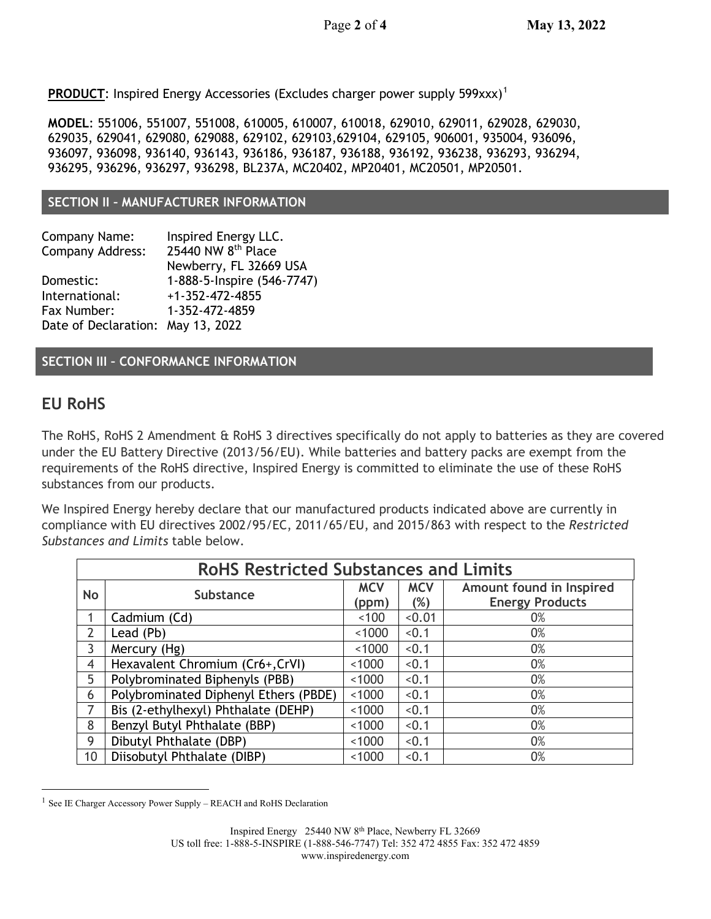**PRODUCT:** Inspired Energy Accessories (Excludes charger power supply 599xxx)<sup>[1](#page-1-0)</sup>

**MODEL**: 551006, 551007, 551008, 610005, 610007, 610018, 629010, 629011, 629028, 629030, 629035, 629041, 629080, 629088, 629102, 629103,629104, 629105, 906001, 935004, 936096, 936097, 936098, 936140, 936143, 936186, 936187, 936188, 936192, 936238, 936293, 936294, 936295, 936296, 936297, 936298, BL237A, MC20402, MP20401, MC20501, MP20501.

### **SECTION II – MANUFACTURER INFORMATION**

| Company Name:                     | Inspired Energy LLC.           |
|-----------------------------------|--------------------------------|
| Company Address:                  | 25440 NW 8 <sup>th</sup> Place |
|                                   | Newberry, FL 32669 USA         |
| Domestic:                         | 1-888-5-Inspire (546-7747)     |
| International:                    | $+1 - 352 - 472 - 4855$        |
| Fax Number:                       | 1-352-472-4859                 |
| Date of Declaration: May 13, 2022 |                                |

**SECTION III – CONFORMANCE INFORMATION**

## **EU RoHS**

The RoHS, RoHS 2 Amendment & RoHS 3 directives specifically do not apply to batteries as they are covered under the EU Battery Directive (2013/56/EU). While batteries and battery packs are exempt from the requirements of the RoHS directive, Inspired Energy is committed to eliminate the use of these RoHS substances from our products.

We Inspired Energy hereby declare that our manufactured products indicated above are currently in compliance with EU directives 2002/95/EC, 2011/65/EU, and 2015/863 with respect to the *Restricted Substances and Limits* table below.

| <b>RoHS Restricted Substances and Limits</b> |                                       |                     |                   |                                                    |  |
|----------------------------------------------|---------------------------------------|---------------------|-------------------|----------------------------------------------------|--|
| No                                           | <b>Substance</b>                      | <b>MCV</b><br>(ppm) | <b>MCV</b><br>(%) | Amount found in Inspired<br><b>Energy Products</b> |  |
|                                              | Cadmium (Cd)                          | ~100                | < 0.01            | 0%                                                 |  |
| $\overline{2}$                               | Lead (Pb)                             | ~1000               | < 0.1             | 0%                                                 |  |
| $\mathbf{3}$                                 | Mercury (Hg)                          | ~1000               | < 0.1             | 0%                                                 |  |
| 4                                            | Hexavalent Chromium (Cr6+,CrVI)       | ~1000               | < 0.1             | 0%                                                 |  |
| 5                                            | Polybrominated Biphenyls (PBB)        | ~1000               | < 0.1             | 0%                                                 |  |
| 6                                            | Polybrominated Diphenyl Ethers (PBDE) | < 1000              | < 0.1             | 0%                                                 |  |
| $\overline{7}$                               | Bis (2-ethylhexyl) Phthalate (DEHP)   | ~1000               | < 0.1             | 0%                                                 |  |
| 8                                            | Benzyl Butyl Phthalate (BBP)          | ~1000               | < 0.1             | 0%                                                 |  |
| 9                                            | Dibutyl Phthalate (DBP)               | ~1000               | < 0.1             | 0%                                                 |  |
| 10 <sup>°</sup>                              | Diisobutyl Phthalate (DIBP)           |                     | < 0.1             | 0%                                                 |  |

<span id="page-1-0"></span><sup>1</sup> See IE Charger Accessory Power Supply – REACH and RoHS Declaration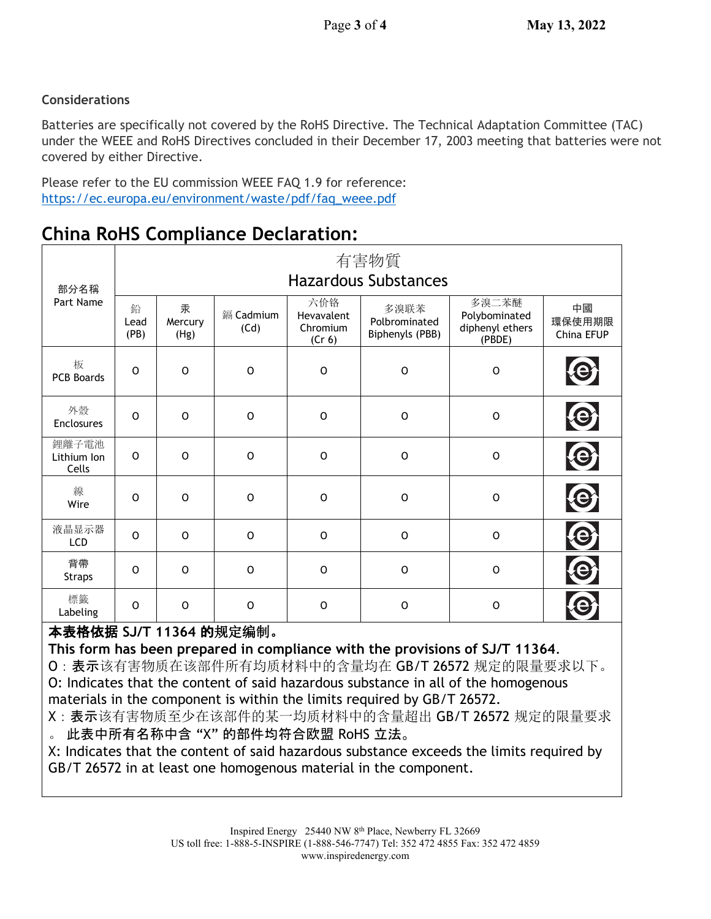### **Considerations**

Batteries are specifically not covered by the RoHS Directive. The Technical Adaptation Committee (TAC) under the WEEE and RoHS Directives concluded in their December 17, 2003 meeting that batteries were not covered by either Directive.

Please refer to the EU commission WEEE FAQ 1.9 for reference: [https://ec.europa.eu/environment/waste/pdf/faq\\_weee.pdf](https://ec.europa.eu/environment/waste/pdf/faq_weee.pdf)

| 部分名稱<br>Part Name             | 有害物質<br><b>Hazardous Substances</b> |                      |                   |                                         |                                          |                                                     |                            |
|-------------------------------|-------------------------------------|----------------------|-------------------|-----------------------------------------|------------------------------------------|-----------------------------------------------------|----------------------------|
|                               | 鉛<br>Lead<br>(PB)                   | 汞<br>Mercury<br>(Hg) | 鎘 Cadmium<br>(Cd) | 六价铬<br>Hevavalent<br>Chromium<br>(Cr 6) | 多溴联苯<br>Polbrominated<br>Biphenyls (PBB) | 多溴二苯醚<br>Polybominated<br>diphenyl ethers<br>(PBDE) | 中國<br>環保使用期限<br>China EFUP |
| 板<br><b>PCB Boards</b>        | $\Omega$                            | $\mathsf{O}$         | $\mathsf{O}$      | $\mathsf{O}$                            | $\mathsf{O}$                             | $\mathbf 0$                                         |                            |
| 外殼<br><b>Enclosures</b>       | O                                   | $\mathsf O$          | $\circ$           | $\mathsf O$                             | $\mathsf O$                              | $\mathbf 0$                                         | $\boldsymbol{\Theta}$      |
| 鋰離子電池<br>Lithium Ion<br>Cells | 0                                   | $\mathsf{O}$         | $\circ$           | $\mathbf 0$                             | $\mathsf O$                              | $\mathbf 0$                                         |                            |
| 線<br>Wire                     | O                                   | $\mathsf{O}$         | $\circ$           | $\mathbf 0$                             | $\mathsf O$                              | $\mathbf 0$                                         |                            |
| 液晶显示器<br><b>LCD</b>           | $\Omega$                            | $\circ$              | $\circ$           | $\circ$                                 | $\circ$                                  | $\circ$                                             |                            |
| 背帶<br><b>Straps</b>           | O                                   | $\circ$              | $\circ$           | $\circ$                                 | $\mathsf O$                              | $\mathbf 0$                                         |                            |
| 標籤<br>Labeling                | O                                   | $\mathsf{O}$         | $\circ$           | $\circ$                                 | $\mathsf{O}$                             | $\mathbf 0$                                         |                            |

# **China RoHS Compliance Declaration:**

## 本表格依据 **SJ/T 11364** 的规定编制。

**This form has been prepared in compliance with the provisions of SJ/T 11364**.

O:表示该有害物质在该部件所有均质材料中的含量均在 GB/T 26572 规定的限量要求以下。 O: Indicates that the content of said hazardous substance in all of the homogenous materials in the component is within the limits required by GB/T 26572.

X:表示该有害物质至少在该部件的某一均质材料中的含量超出 GB/T 26572 规定的限量要求

。 此表中所有名称中含 "X" 的部件均符合欧盟 RoHS 立法。

X: Indicates that the content of said hazardous substance exceeds the limits required by GB/T 26572 in at least one homogenous material in the component.